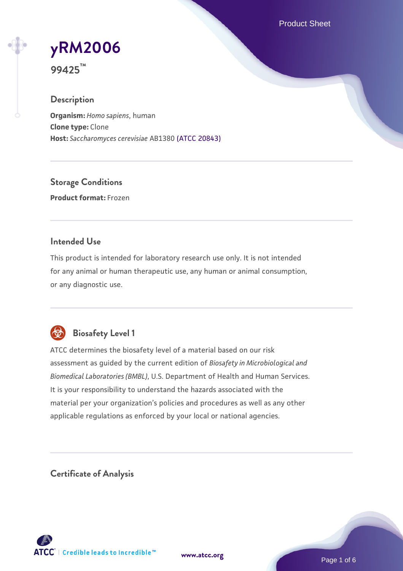Product Sheet

# **[yRM2006](https://www.atcc.org/products/99425)**

**99425™**

### **Description**

**Organism:** *Homo sapiens*, human **Clone type:** Clone **Host:** *Saccharomyces cerevisiae* AB1380 [\(ATCC 20843\)](https://www.atcc.org/products/20843)

**Storage Conditions Product format:** Frozen

#### **Intended Use**

This product is intended for laboratory research use only. It is not intended for any animal or human therapeutic use, any human or animal consumption, or any diagnostic use.



# **Biosafety Level 1**

ATCC determines the biosafety level of a material based on our risk assessment as guided by the current edition of *Biosafety in Microbiological and Biomedical Laboratories (BMBL)*, U.S. Department of Health and Human Services. It is your responsibility to understand the hazards associated with the material per your organization's policies and procedures as well as any other applicable regulations as enforced by your local or national agencies.

**Certificate of Analysis**

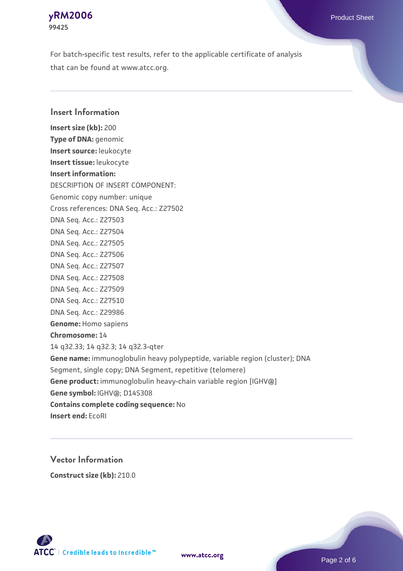For batch-specific test results, refer to the applicable certificate of analysis that can be found at www.atcc.org.

#### **Insert Information**

**Insert size (kb):** 200 **Type of DNA:** genomic **Insert source:** leukocyte **Insert tissue:** leukocyte **Insert information:** DESCRIPTION OF INSERT COMPONENT: Genomic copy number: unique Cross references: DNA Seq. Acc.: Z27502 DNA Seq. Acc.: Z27503 DNA Seq. Acc.: Z27504 DNA Seq. Acc.: Z27505 DNA Seq. Acc.: Z27506 DNA Seq. Acc.: Z27507 DNA Seq. Acc.: Z27508 DNA Seq. Acc.: Z27509 DNA Seq. Acc.: Z27510 DNA Seq. Acc.: Z29986 **Genome:** Homo sapiens **Chromosome:** 14 14 q32.33; 14 q32.3; 14 q32.3-qter **Gene name:** immunoglobulin heavy polypeptide, variable region (cluster); DNA Segment, single copy; DNA Segment, repetitive (telomere) **Gene product:** immunoglobulin heavy-chain variable region [IGHV@] **Gene symbol:** IGHV@; D14S308 **Contains complete coding sequence:** No **Insert end:** EcoRI

# **Vector Information Construct size (kb):** 210.0

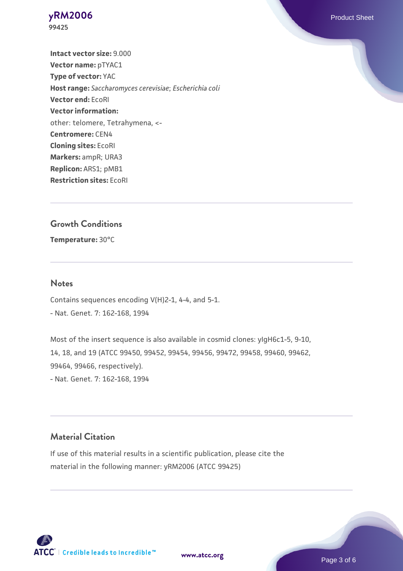**Intact vector size:** 9.000 **Vector name:** pTYAC1 **Type of vector:** YAC **Host range:** *Saccharomyces cerevisiae*; *Escherichia coli* **Vector end:** EcoRI **Vector information:** other: telomere, Tetrahymena, <- **Centromere:** CEN4 **Cloning sites:** EcoRI **Markers:** ampR; URA3 **Replicon:** ARS1; pMB1 **Restriction sites:** EcoRI

### **Growth Conditions**

**Temperature:** 30°C

#### **Notes**

Contains sequences encoding V(H)2-1, 4-4, and 5-1. - Nat. Genet. 7: 162-168, 1994

Most of the insert sequence is also available in cosmid clones: yIgH6c1-5, 9-10, 14, 18, and 19 (ATCC 99450, 99452, 99454, 99456, 99472, 99458, 99460, 99462, 99464, 99466, respectively). - Nat. Genet. 7: 162-168, 1994

#### **Material Citation**

If use of this material results in a scientific publication, please cite the material in the following manner: yRM2006 (ATCC 99425)

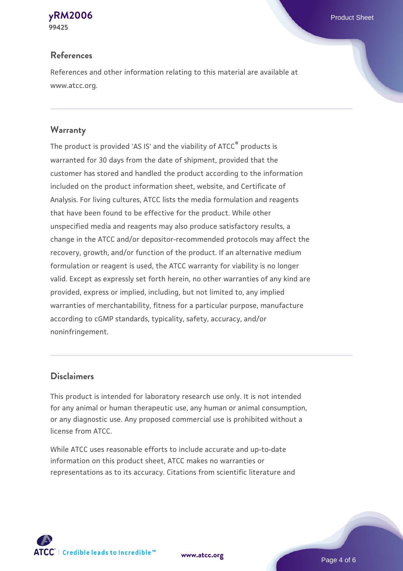# **References**

References and other information relating to this material are available at www.atcc.org.

# **Warranty**

The product is provided 'AS IS' and the viability of ATCC® products is warranted for 30 days from the date of shipment, provided that the customer has stored and handled the product according to the information included on the product information sheet, website, and Certificate of Analysis. For living cultures, ATCC lists the media formulation and reagents that have been found to be effective for the product. While other unspecified media and reagents may also produce satisfactory results, a change in the ATCC and/or depositor-recommended protocols may affect the recovery, growth, and/or function of the product. If an alternative medium formulation or reagent is used, the ATCC warranty for viability is no longer valid. Except as expressly set forth herein, no other warranties of any kind are provided, express or implied, including, but not limited to, any implied warranties of merchantability, fitness for a particular purpose, manufacture according to cGMP standards, typicality, safety, accuracy, and/or noninfringement.

# **Disclaimers**

This product is intended for laboratory research use only. It is not intended for any animal or human therapeutic use, any human or animal consumption, or any diagnostic use. Any proposed commercial use is prohibited without a license from ATCC.

While ATCC uses reasonable efforts to include accurate and up-to-date information on this product sheet, ATCC makes no warranties or representations as to its accuracy. Citations from scientific literature and



**[www.atcc.org](http://www.atcc.org)**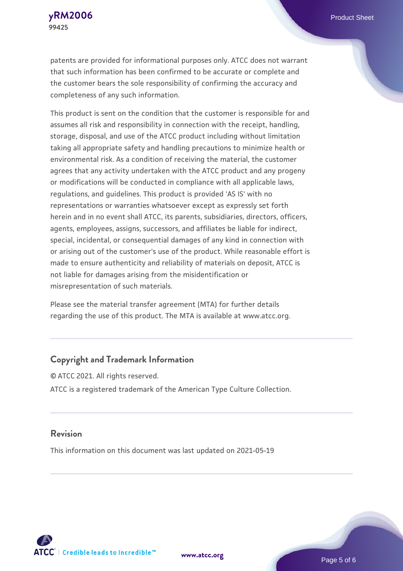patents are provided for informational purposes only. ATCC does not warrant that such information has been confirmed to be accurate or complete and the customer bears the sole responsibility of confirming the accuracy and completeness of any such information.

This product is sent on the condition that the customer is responsible for and assumes all risk and responsibility in connection with the receipt, handling, storage, disposal, and use of the ATCC product including without limitation taking all appropriate safety and handling precautions to minimize health or environmental risk. As a condition of receiving the material, the customer agrees that any activity undertaken with the ATCC product and any progeny or modifications will be conducted in compliance with all applicable laws, regulations, and guidelines. This product is provided 'AS IS' with no representations or warranties whatsoever except as expressly set forth herein and in no event shall ATCC, its parents, subsidiaries, directors, officers, agents, employees, assigns, successors, and affiliates be liable for indirect, special, incidental, or consequential damages of any kind in connection with or arising out of the customer's use of the product. While reasonable effort is made to ensure authenticity and reliability of materials on deposit, ATCC is not liable for damages arising from the misidentification or misrepresentation of such materials.

Please see the material transfer agreement (MTA) for further details regarding the use of this product. The MTA is available at www.atcc.org.

#### **Copyright and Trademark Information**

© ATCC 2021. All rights reserved. ATCC is a registered trademark of the American Type Culture Collection.

#### **Revision**

This information on this document was last updated on 2021-05-19